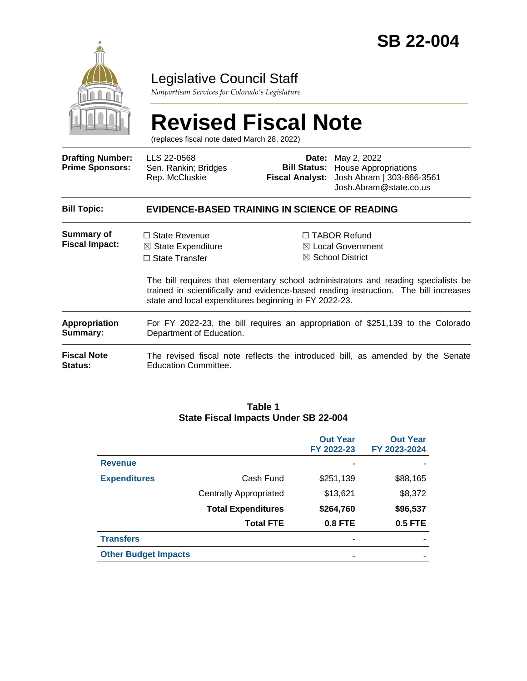

### Legislative Council Staff

*Nonpartisan Services for Colorado's Legislature*

# **Revised Fiscal Note**

(replaces fiscal note dated March 28, 2022)

| <b>Drafting Number:</b><br><b>Prime Sponsors:</b> | LLS 22-0568<br>Sen. Rankin; Bridges<br>Rep. McCluskie                                                                                   |  | <b>Date:</b> May 2, 2022<br><b>Bill Status:</b> House Appropriations<br>Fiscal Analyst: Josh Abram   303-866-3561<br>Josh.Abram@state.co.us                                                                                                                      |  |
|---------------------------------------------------|-----------------------------------------------------------------------------------------------------------------------------------------|--|------------------------------------------------------------------------------------------------------------------------------------------------------------------------------------------------------------------------------------------------------------------|--|
| <b>Bill Topic:</b>                                | EVIDENCE-BASED TRAINING IN SCIENCE OF READING                                                                                           |  |                                                                                                                                                                                                                                                                  |  |
| Summary of<br><b>Fiscal Impact:</b>               | $\Box$ State Revenue<br>$\boxtimes$ State Expenditure<br>$\Box$ State Transfer<br>state and local expenditures beginning in FY 2022-23. |  | $\Box$ TABOR Refund<br>$\boxtimes$ Local Government<br>$\boxtimes$ School District<br>The bill requires that elementary school administrators and reading specialists be<br>trained in scientifically and evidence-based reading instruction. The bill increases |  |
| Appropriation<br>Summary:                         | For FY 2022-23, the bill requires an appropriation of \$251,139 to the Colorado<br>Department of Education.                             |  |                                                                                                                                                                                                                                                                  |  |
| Fiscal Note<br>Status:                            | The revised fiscal note reflects the introduced bill, as amended by the Senate<br><b>Education Committee.</b>                           |  |                                                                                                                                                                                                                                                                  |  |

#### **Table 1 State Fiscal Impacts Under SB 22-004**

|                             |                               | <b>Out Year</b><br>FY 2022-23 | <b>Out Year</b><br>FY 2023-2024 |
|-----------------------------|-------------------------------|-------------------------------|---------------------------------|
| <b>Revenue</b>              |                               |                               |                                 |
| <b>Expenditures</b>         | Cash Fund                     | \$251,139                     | \$88,165                        |
|                             | <b>Centrally Appropriated</b> | \$13,621                      | \$8,372                         |
|                             | <b>Total Expenditures</b>     | \$264,760                     | \$96,537                        |
|                             | <b>Total FTE</b>              | <b>0.8 FTE</b>                | 0.5 FTE                         |
| <b>Transfers</b>            |                               |                               |                                 |
| <b>Other Budget Impacts</b> |                               |                               |                                 |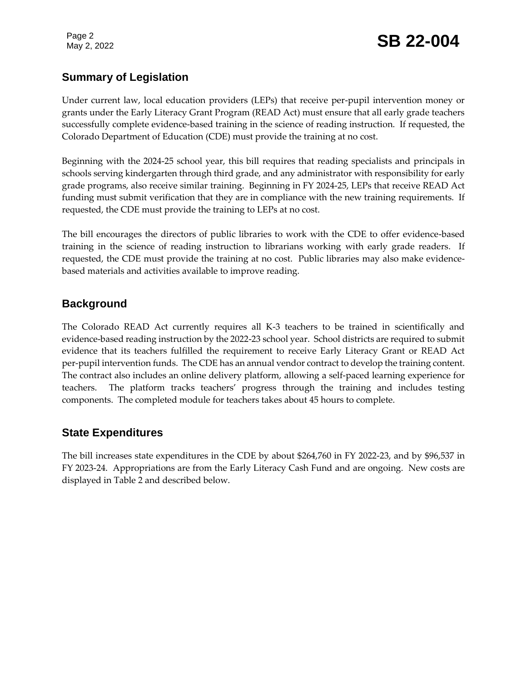### **Summary of Legislation**

Under current law, local education providers (LEPs) that receive per-pupil intervention money or grants under the Early Literacy Grant Program (READ Act) must ensure that all early grade teachers successfully complete evidence-based training in the science of reading instruction. If requested, the Colorado Department of Education (CDE) must provide the training at no cost.

Beginning with the 2024-25 school year, this bill requires that reading specialists and principals in schools serving kindergarten through third grade, and any administrator with responsibility for early grade programs, also receive similar training. Beginning in FY 2024-25, LEPs that receive READ Act funding must submit verification that they are in compliance with the new training requirements. If requested, the CDE must provide the training to LEPs at no cost.

The bill encourages the directors of public libraries to work with the CDE to offer evidence-based training in the science of reading instruction to librarians working with early grade readers. If requested, the CDE must provide the training at no cost. Public libraries may also make evidencebased materials and activities available to improve reading.

### **Background**

The Colorado READ Act currently requires all K-3 teachers to be trained in scientifically and evidence-based reading instruction by the 2022-23 school year. School districts are required to submit evidence that its teachers fulfilled the requirement to receive Early Literacy Grant or READ Act per-pupil intervention funds. The CDE has an annual vendor contract to develop the training content. The contract also includes an online delivery platform, allowing a self-paced learning experience for teachers. The platform tracks teachers' progress through the training and includes testing components. The completed module for teachers takes about 45 hours to complete.

### **State Expenditures**

The bill increases state expenditures in the CDE by about \$264,760 in FY 2022-23, and by \$96,537 in FY 2023-24. Appropriations are from the Early Literacy Cash Fund and are ongoing. New costs are displayed in Table 2 and described below.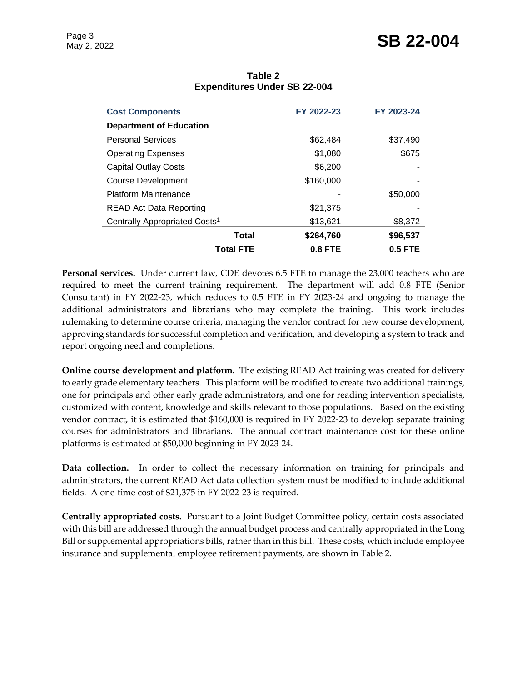## Page 3<br>May 2, 2022 **SB 22-004**

| <b>Cost Components</b>                    | FY 2022-23     | FY 2023-24     |
|-------------------------------------------|----------------|----------------|
| <b>Department of Education</b>            |                |                |
| <b>Personal Services</b>                  | \$62,484       | \$37,490       |
| <b>Operating Expenses</b>                 | \$1,080        | \$675          |
| <b>Capital Outlay Costs</b>               | \$6,200        |                |
| <b>Course Development</b>                 | \$160,000      |                |
| Platform Maintenance                      |                | \$50,000       |
| <b>READ Act Data Reporting</b>            | \$21,375       |                |
| Centrally Appropriated Costs <sup>1</sup> | \$13,621       | \$8,372        |
| <b>Total</b>                              | \$264,760      | \$96,537       |
| <b>Total FTE</b>                          | <b>0.8 FTE</b> | <b>0.5 FTE</b> |

### **Table 2 Expenditures Under SB 22-004**

**Personal services.** Under current law, CDE devotes 6.5 FTE to manage the 23,000 teachers who are required to meet the current training requirement. The department will add 0.8 FTE (Senior Consultant) in FY 2022-23, which reduces to 0.5 FTE in FY 2023-24 and ongoing to manage the additional administrators and librarians who may complete the training. This work includes rulemaking to determine course criteria, managing the vendor contract for new course development, approving standards for successful completion and verification, and developing a system to track and report ongoing need and completions.

**Online course development and platform.** The existing READ Act training was created for delivery to early grade elementary teachers. This platform will be modified to create two additional trainings, one for principals and other early grade administrators, and one for reading intervention specialists, customized with content, knowledge and skills relevant to those populations. Based on the existing vendor contract, it is estimated that \$160,000 is required in FY 2022-23 to develop separate training courses for administrators and librarians. The annual contract maintenance cost for these online platforms is estimated at \$50,000 beginning in FY 2023-24.

**Data collection.** In order to collect the necessary information on training for principals and administrators, the current READ Act data collection system must be modified to include additional fields. A one-time cost of \$21,375 in FY 2022-23 is required.

**Centrally appropriated costs.** Pursuant to a Joint Budget Committee policy, certain costs associated with this bill are addressed through the annual budget process and centrally appropriated in the Long Bill or supplemental appropriations bills, rather than in this bill. These costs, which include employee insurance and supplemental employee retirement payments, are shown in Table 2.